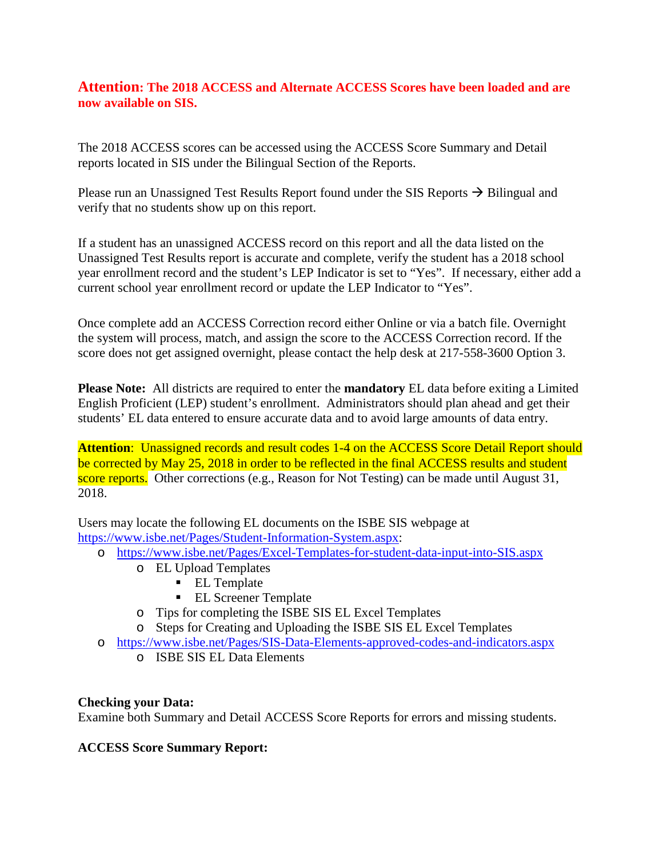# **Attention: The 2018 ACCESS and Alternate ACCESS Scores have been loaded and are now available on SIS.**

The 2018 ACCESS scores can be accessed using the ACCESS Score Summary and Detail reports located in SIS under the Bilingual Section of the Reports.

Please run an Unassigned Test Results Report found under the SIS Reports  $\rightarrow$  Bilingual and verify that no students show up on this report.

If a student has an unassigned ACCESS record on this report and all the data listed on the Unassigned Test Results report is accurate and complete, verify the student has a 2018 school year enrollment record and the student's LEP Indicator is set to "Yes". If necessary, either add a current school year enrollment record or update the LEP Indicator to "Yes".

Once complete add an ACCESS Correction record either Online or via a batch file. Overnight the system will process, match, and assign the score to the ACCESS Correction record. If the score does not get assigned overnight, please contact the help desk at 217-558-3600 Option 3.

**Please Note:** All districts are required to enter the **mandatory** EL data before exiting a Limited English Proficient (LEP) student's enrollment. Administrators should plan ahead and get their students' EL data entered to ensure accurate data and to avoid large amounts of data entry.

**Attention:** Unassigned records and result codes 1-4 on the ACCESS Score Detail Report should be corrected by May 25, 2018 in order to be reflected in the final ACCESS results and student score reports. Other corrections (e.g., Reason for Not Testing) can be made until August 31, 2018.

Users may locate the following EL documents on the ISBE SIS webpage at [https://www.isbe.net/Pages/Student-Information-System.aspx:](https://www.isbe.net/Pages/Student-Information-System.aspx)

- o <https://www.isbe.net/Pages/Excel-Templates-for-student-data-input-into-SIS.aspx>
	- o EL Upload Templates
		- **EL Template**
		- **EL Screener Template**
	- o Tips for completing the ISBE SIS EL Excel Templates
	- o Steps for Creating and Uploading the ISBE SIS EL Excel Templates
- o <https://www.isbe.net/Pages/SIS-Data-Elements-approved-codes-and-indicators.aspx> o ISBE SIS EL Data Elements

## **Checking your Data:**

Examine both Summary and Detail ACCESS Score Reports for errors and missing students.

## **ACCESS Score Summary Report:**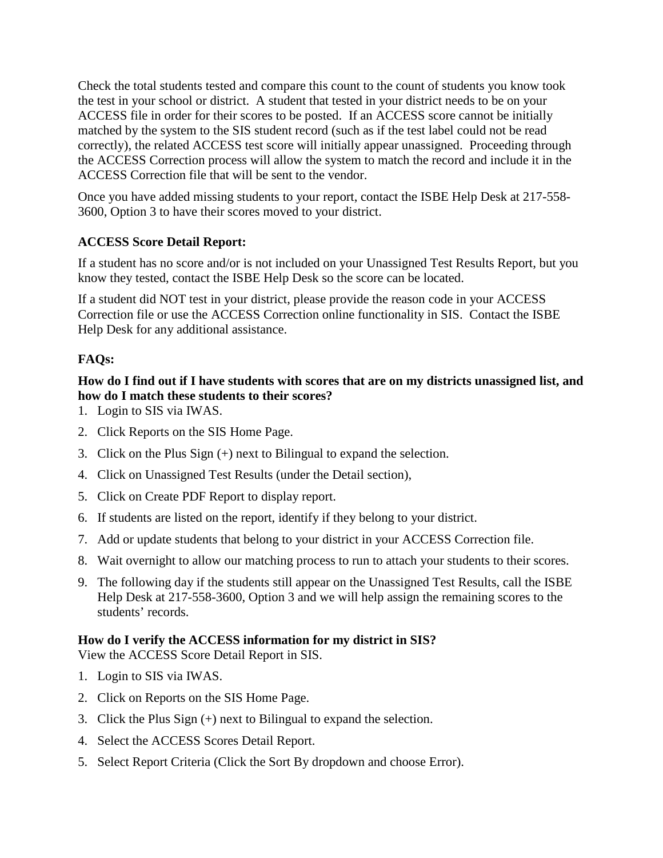Check the total students tested and compare this count to the count of students you know took the test in your school or district. A student that tested in your district needs to be on your ACCESS file in order for their scores to be posted. If an ACCESS score cannot be initially matched by the system to the SIS student record (such as if the test label could not be read correctly), the related ACCESS test score will initially appear unassigned. Proceeding through the ACCESS Correction process will allow the system to match the record and include it in the ACCESS Correction file that will be sent to the vendor.

Once you have added missing students to your report, contact the ISBE Help Desk at 217-558- 3600, Option 3 to have their scores moved to your district.

# **ACCESS Score Detail Report:**

If a student has no score and/or is not included on your Unassigned Test Results Report, but you know they tested, contact the ISBE Help Desk so the score can be located.

If a student did NOT test in your district, please provide the reason code in your ACCESS Correction file or use the ACCESS Correction online functionality in SIS. Contact the ISBE Help Desk for any additional assistance.

# **FAQs:**

### **How do I find out if I have students with scores that are on my districts unassigned list, and how do I match these students to their scores?**

- 1. Login to SIS via IWAS.
- 2. Click Reports on the SIS Home Page.
- 3. Click on the Plus Sign (+) next to Bilingual to expand the selection.
- 4. Click on Unassigned Test Results (under the Detail section),
- 5. Click on Create PDF Report to display report.
- 6. If students are listed on the report, identify if they belong to your district.
- 7. Add or update students that belong to your district in your ACCESS Correction file.
- 8. Wait overnight to allow our matching process to run to attach your students to their scores.
- 9. The following day if the students still appear on the Unassigned Test Results, call the ISBE Help Desk at 217-558-3600, Option 3 and we will help assign the remaining scores to the students' records.

# **How do I verify the ACCESS information for my district in SIS?**

View the ACCESS Score Detail Report in SIS.

- 1. Login to SIS via IWAS.
- 2. Click on Reports on the SIS Home Page.
- 3. Click the Plus Sign (+) next to Bilingual to expand the selection.
- 4. Select the ACCESS Scores Detail Report.
- 5. Select Report Criteria (Click the Sort By dropdown and choose Error).